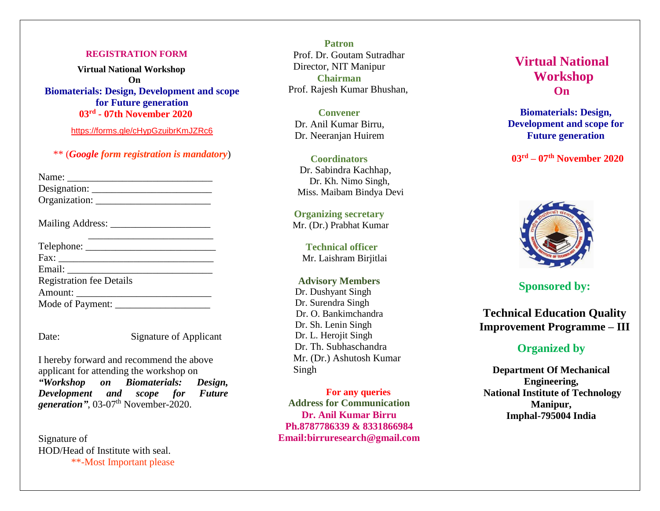#### **REGISTRATION FORM**

 **Virtual National Workshop On Biomaterials: Design, Development and scope for Future generation 03rd - 07th November 2020**

<https://forms.gle/cHypGzuibrKmJZRc6>

\*\* (*Google form registration is mandatory*)

| Name:         |  |
|---------------|--|
| Designation:  |  |
| Organization: |  |

| <b>Mailing Address:</b> |  |  |
|-------------------------|--|--|
|                         |  |  |
|                         |  |  |

| Telephone:                      |
|---------------------------------|
| Fax:                            |
| Email:                          |
| <b>Registration fee Details</b> |
| Amount:                         |
| Mode of Payment: ______         |

Date: Signature of Applicant

I hereby forward and recommend the above applicant for attending the workshop on *"Workshop on Biomaterials: Design, Development and scope for Future*  generation", 03-07<sup>th</sup> November-2020.

Signature of HOD/Head of Institute with seal. \*\*-Most Important please

**Patron** Prof. Dr. Goutam Sutradhar Director, NIT Manipur **Chairman**  Prof. Rajesh Kumar Bhushan,

**Convener**  Dr. Anil Kumar Birru, Dr. Neeranjan Huirem

**Coordinators** Dr. Sabindra Kachhap, Dr. Kh. Nimo Singh, Miss. Maibam Bindya Devi

**Organizing secretary** Mr. (Dr.) Prabhat Kumar

 **Technical officer** Mr. Laishram Birjitlai

**Advisory Members** Dr. Dushyant Singh Dr. Surendra Singh Dr. O. Bankimchandra Dr. Sh. Lenin Singh Dr. L. Herojit Singh Dr. Th. Subhaschandra Mr. (Dr.) Ashutosh Kumar Singh

**For any queries Address for Communication Dr. Anil Kumar Birru Ph.8787786339 & 8331866984 Email:birruresearch@gmail.com**

# **Virtual National Workshop On**

**Biomaterials: Design, Development and scope for Future generation**

 **03rd – 07th November 2020**



## **Sponsored by:**

**Technical Education Quality Improvement Programme – III**

## **Organized by**

**Department Of Mechanical Engineering, National Institute of Technology Manipur, Imphal-795004 India**